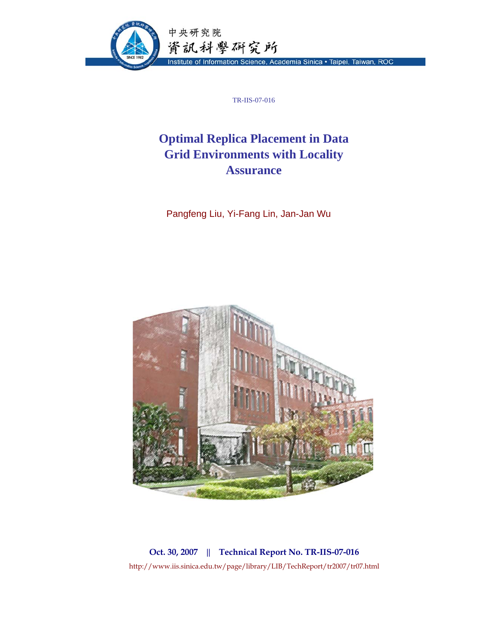

TR-IIS-07-016

# **Optimal Replica Placement in Data Grid Environments with Locality Assurance**

Pangfeng Liu, Yi-Fang Lin, Jan-Jan Wu



**Oct. 30, 2007 || Technical Report No. TR-IIS-07-016**  http://www.iis.sinica.edu.tw/page/library/LIB/TechReport/tr2007/tr07.html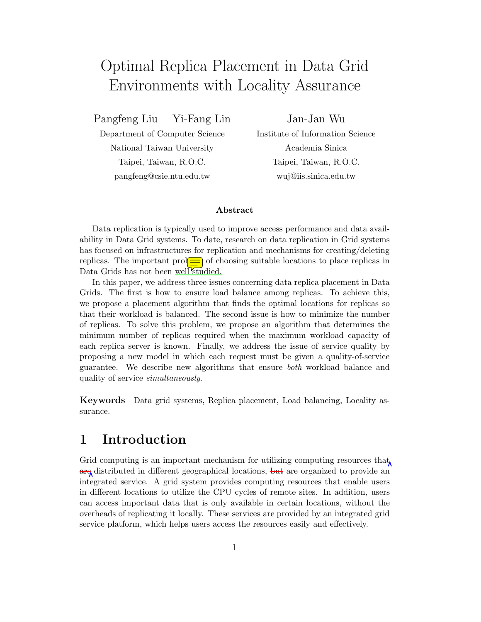# Optimal Replica Placement in Data Grid Environments with Locality Assurance

Pangfeng Liu Yi-Fang Lin

Department of Computer Science National Taiwan University Taipei, Taiwan, R.O.C. pangfeng@csie.ntu.edu.tw

Jan-Jan Wu

Institute of Information Science Academia Sinica Taipei, Taiwan, R.O.C. wuj@iis.sinica.edu.tw

#### **Abstract**

Data replication is typically used to improve access performance and data availability in Data Grid systems. To date, research on data replication in Grid systems has focused on infrastructures for replication and mechanisms for creating/deleting replicas. The important pro $\underline{\equiv}$  of choosing suitable locations to place replicas in Data Grids has not been well'studied.

In this paper, we address three issues concerning data replica placement in Data Grids. The first is how to ensure load balance among replicas. To achieve this, we propose a placement algorithm that finds the optimal locations for replicas so that their workload is balanced. The second issue is how to minimize the number of replicas. To solve this problem, we propose an algorithm that determines the minimum number of replicas required when the maximum workload capacity of each replica server is known. Finally, we address the issue of service quality by proposing a new model in which each request must be given a quality-of-service guarantee. We describe new algorithms that ensure *both* workload balance and quality of service *simultaneously*.

**Keywords** Data grid systems, Replica placement, Load balancing, Locality assurance.

# **1 Introduction**

Grid computing is an important mechanism for utilizing computing resources that are distributed in different geographical locations, but are organized to provide an integrated service. A grid system provides computing resources that enable users in different locations to utilize the CPU cycles of remote sites. In addition, users can access important data that is only available in certain locations, without the overheads of replicating it locally. These services are provided by an integrated grid service platform, which helps users access the resources easily and effectively.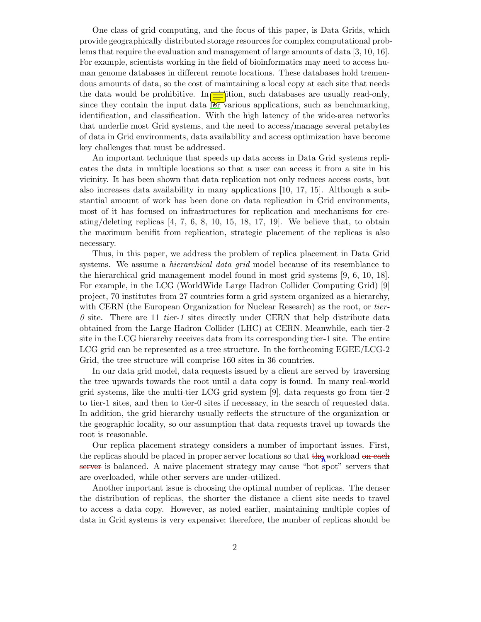One class of grid computing, and the focus of this paper, is Data Grids, which provide geographically distributed storage resources for complex computational problems that require the evaluation and management of large amounts of data [3, 10, 16]. For example, scientists working in the field of bioinformatics may need to access human genome databases in different remote locations. These databases hold tremendous amounts of data, so the cost of maintaining a local copy at each site that needs the data would be prohibitive. In  $\equiv$  ition, such databases are usually read-only, since they contain the input data  $\frac{1}{\sqrt{2}}$  various applications, such as benchmarking, identification, and classification. With the high latency of the wide-area networks that underlie most Grid systems, and the need to access/manage several petabytes of data in Grid environments, data availability and access optimization have become key challenges that must be addressed.

An important technique that speeds up data access in Data Grid systems replicates the data in multiple locations so that a user can access it from a site in his vicinity. It has been shown that data replication not only reduces access costs, but also increases data availability in many applications [10, 17, 15]. Although a substantial amount of work has been done on data replication in Grid environments, most of it has focused on infrastructures for replication and mechanisms for creating/deleting replicas  $[4, 7, 6, 8, 10, 15, 18, 17, 19]$ . We believe that, to obtain the maximum benifit from replication, strategic placement of the replicas is also necessary.

Thus, in this paper, we address the problem of replica placement in Data Grid systems. We assume a *hierarchical data grid* model because of its resemblance to the hierarchical grid management model found in most grid systems [9, 6, 10, 18]. For example, in the LCG (WorldWide Large Hadron Collider Computing Grid) [9] project, 70 institutes from 27 countries form a grid system organized as a hierarchy, with CERN (the European Organization for Nuclear Research) as the root, or *tier-0* site. There are 11 *tier-1* sites directly under CERN that help distribute data obtained from the Large Hadron Collider (LHC) at CERN. Meanwhile, each tier-2 site in the LCG hierarchy receives data from its corresponding tier-1 site. The entire LCG grid can be represented as a tree structure. In the forthcoming EGEE/LCG-2 Grid, the tree structure will comprise 160 sites in 36 countries.

In our data grid model, data requests issued by a client are served by traversing the tree upwards towards the root until a data copy is found. In many real-world grid systems, like the multi-tier LCG grid system [9], data requests go from tier-2 to tier-1 sites, and then to tier-0 sites if necessary, in the search of requested data. In addition, the grid hierarchy usually reflects the structure of the organization or the geographic locality, so our assumption that data requests travel up towards the root is reasonable.

Our replica placement strategy considers a number of important issues. First, the replicas should be placed in proper server locations so that the workload on each server is balanced. A naive placement strategy may cause "hot spot" servers that are overloaded, while other servers are under-utilized.

Another important issue is choosing the optimal number of replicas. The denser the distribution of replicas, the shorter the distance a client site needs to travel to access a data copy. However, as noted earlier, maintaining multiple copies of data in Grid systems is very expensive; therefore, the number of replicas should be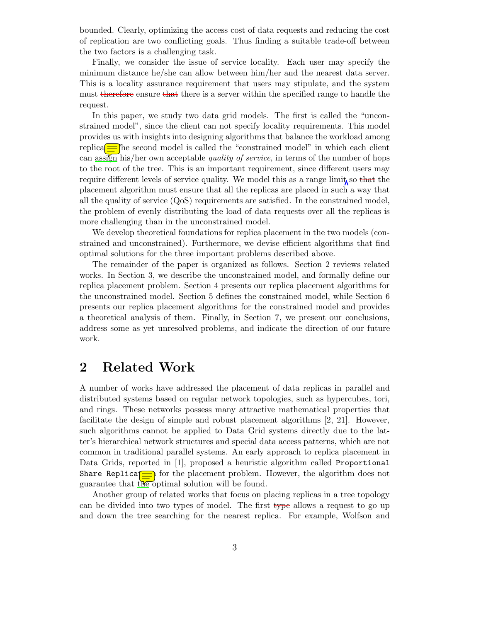bounded. Clearly, optimizing the access cost of data requests and reducing the cost of replication are two conflicting goals. Thus finding a suitable trade-off between the two factors is a challenging task.

Finally, we consider the issue of service locality. Each user may specify the minimum distance he/she can allow between him/her and the nearest data server. This is a locality assurance requirement that users may stipulate, and the system must therefore ensure that there is a server within the specified range to handle the request.

In this paper, we study two data grid models. The first is called the "unconstrained model", since the client can not specify locality requirements. This model provides us with insights into designing algorithms that balance the workload among replica $\equiv$ he second model is called the "constrained model" in which each client can assign his/her own acceptable *quality of service*, in terms of the number of hops to the root of the tree. This is an important requirement, since different users may require different levels of service quality. We model this as a range limit so that the placement algorithm must ensure that all the replicas are placed in such a way that all the quality of service (QoS) requirements are satisfied. In the constrained model, the problem of evenly distributing the load of data requests over all the replicas is more challenging than in the unconstrained model.

We develop theoretical foundations for replica placement in the two models (constrained and unconstrained). Furthermore, we devise efficient algorithms that find optimal solutions for the three important problems described above.

The remainder of the paper is organized as follows. Section 2 reviews related works. In Section 3, we describe the unconstrained model, and formally define our replica placement problem. Section 4 presents our replica placement algorithms for the unconstrained model. Section 5 defines the constrained model, while Section 6 presents our replica placement algorithms for the constrained model and provides a theoretical analysis of them. Finally, in Section 7, we present our conclusions, address some as yet unresolved problems, and indicate the direction of our future work.

### **2 Related Work**

A number of works have addressed the placement of data replicas in parallel and distributed systems based on regular network topologies, such as hypercubes, tori, and rings. These networks possess many attractive mathematical properties that facilitate the design of simple and robust placement algorithms [2, 21]. However, such algorithms cannot be applied to Data Grid systems directly due to the latter's hierarchical network structures and special data access patterns, which are not common in traditional parallel systems. An early approach to replica placement in Data Grids, reported in [1], proposed a heuristic algorithm called Proportional Share Replica $\leftarrow$  for the placement problem. However, the algorithm does not guarantee that the optimal solution will be found.

Another group of related works that focus on placing replicas in a tree topology can be divided into two types of model. The first type allows a request to go up and down the tree searching for the nearest replica. For example, Wolfson and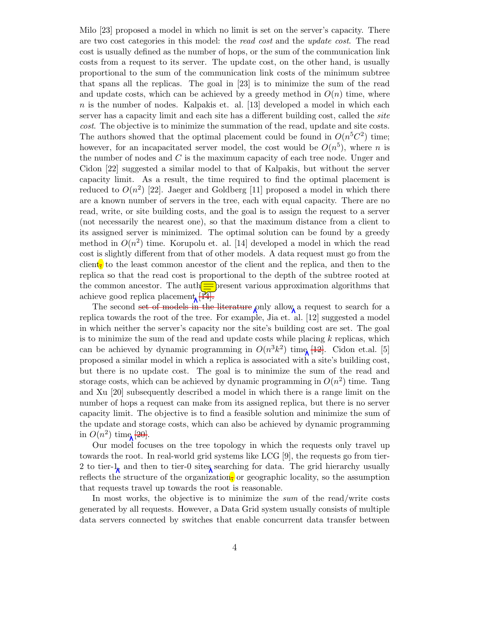Milo [23] proposed a model in which no limit is set on the server's capacity. There are two cost categories in this model: the *read cost* and the *update cost*. The read cost is usually defined as the number of hops, or the sum of the communication link costs from a request to its server. The update cost, on the other hand, is usually proportional to the sum of the communication link costs of the minimum subtree that spans all the replicas. The goal in [23] is to minimize the sum of the read and update costs, which can be achieved by a greedy method in  $O(n)$  time, where *n* is the number of nodes. Kalpakis et. al. [13] developed a model in which each server has a capacity limit and each site has a different building cost, called the *site cost*. The objective is to minimize the summation of the read, update and site costs. The authors showed that the optimal placement could be found in  $O(n^5C^2)$  time; however, for an incapacitated server model, the cost would be  $O(n^5)$ , where *n* is the number of nodes and *C* is the maximum capacity of each tree node. Unger and Cidon [22] suggested a similar model to that of Kalpakis, but without the server capacity limit. As a result, the time required to find the optimal placement is reduced to  $O(n^2)$  [22]. Jaeger and Goldberg [11] proposed a model in which there are a known number of servers in the tree, each with equal capacity. There are no read, write, or site building costs, and the goal is to assign the request to a server (not necessarily the nearest one), so that the maximum distance from a client to its assigned server is minimized. The optimal solution can be found by a greedy method in  $O(n^2)$  time. Korupolu et. al. [14] developed a model in which the read cost is slightly different from that of other models. A data request must go from the client<sub>s</sub> to the least common ancestor of the client and the replica, and then to the replica so that the read cost is proportional to the depth of the subtree rooted at the common ancestor. The authors present various approximation algorithms that achieve good replica placement  $[14]$ .

The second set of models in the literature only allow a request to search for a replica towards the root of the tree. For example, Jia et. al. [12] suggested a model in which neither the server's capacity nor the site's building cost are set. The goal is to minimize the sum of the read and update costs while placing *k* replicas, which can be achieved by dynamic programming in  $O(n^3k^2)$  time  $\left|12\right|$ . Cidon et.al. [5] proposed a similar model in which a replica is associated with a site's building cost, but there is no update cost. The goal is to minimize the sum of the read and storage costs, which can be achieved by dynamic programming in  $O(n^2)$  time. Tang and Xu [20] subsequently described a model in which there is a range limit on the number of hops a request can make from its assigned replica, but there is no server capacity limit. The objective is to find a feasible solution and minimize the sum of the update and storage costs, which can also be achieved by dynamic programming in  $O(n^2)$  time  $\sqrt{20}$ .

Our model focuses on the tree topology in which the requests only travel up towards the root. In real-world grid systems like LCG [9], the requests go from tier-2 to tier-1<sub> $\kappa$ </sub> and then to tier-0 sites searching for data. The grid hierarchy usually reflects the structure of the organization, or geographic locality, so the assumption that requests travel up towards the root is reasonable.

In most works, the objective is to minimize the *sum* of the read/write costs generated by all requests. However, a Data Grid system usually consists of multiple data servers connected by switches that enable concurrent data transfer between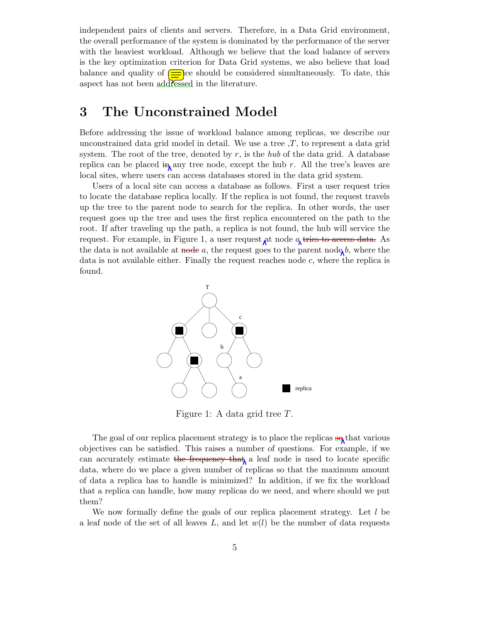independent pairs of clients and servers. Therefore, in a Data Grid environment, the overall performance of the system is dominated by the performance of the server with the heaviest workload. Although we believe that the load balance of servers is the key optimization criterion for Data Grid systems, we also believe that load balance and quality of  $\equiv$  ce should be considered simultaneously. To date, this aspect has not been addressed in the literature.

# **3 The Unconstrained Model**

Before addressing the issue of workload balance among replicas, we describe our unconstrained data grid model in detail. We use a tree ,*T*, to represent a data grid system. The root of the tree, denoted by *r*, is the *hub* of the data grid. A database replica can be placed  $\frac{1}{2}$  in any tree node, except the hub *r*. All the tree's leaves are local sites, where users can access databases stored in the data grid system.

Users of a local site can access a database as follows. First a user request tries to locate the database replica locally. If the replica is not found, the request travels up the tree to the parent node to search for the replica. In other words, the user request goes up the tree and uses the first replica encountered on the path to the root. If after traveling up the path, a replica is not found, the hub will service the request. For example, in Figure 1, a user request  $\alpha$  node  $a_{\alpha}$  tries to access data. As the data is not available at  $\overline{\text{node}}\, a$ , the request goes to the parent  $\text{node}_b\, b$ , where the data is not available either. Finally the request reaches node *c*, where the replica is found.



Figure 1: A data grid tree *T*.

The goal of our replica placement strategy is to place the replicas  $\mathbf{sg}$  that various objectives can be satisfied. This raises a number of questions. For example, if we can accurately estimate the frequency that a leaf node is used to locate specific data, where do we place a given number of replicas so that the maximum amount of data a replica has to handle is minimized? In addition, if we fix the workload that a replica can handle, how many replicas do we need, and where should we put them?

We now formally define the goals of our replica placement strategy. Let *l* be a leaf node of the set of all leaves  $L$ , and let  $w(l)$  be the number of data requests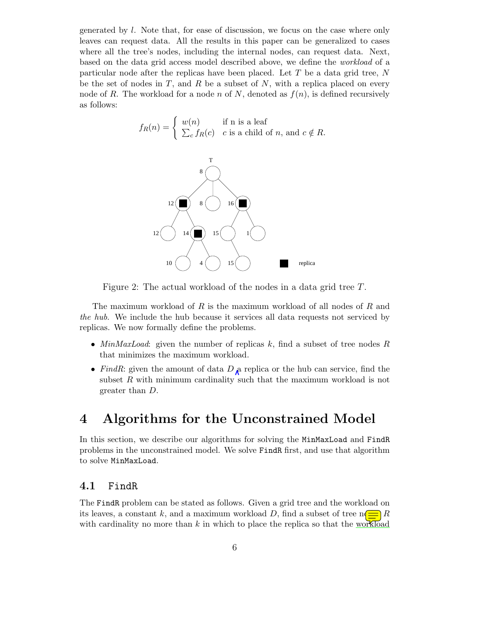generated by *l*. Note that, for ease of discussion, we focus on the case where only leaves can request data. All the results in this paper can be generalized to cases where all the tree's nodes, including the internal nodes, can request data. Next, based on the data grid access model described above, we define the *workload* of a particular node after the replicas have been placed. Let *T* be a data grid tree, *N* be the set of nodes in *T*, and *R* be a subset of *N*, with a replica placed on every node of R. The workload for a node *n* of *N*, denoted as  $f(n)$ , is defined recursively as follows:

$$
f_R(n) = \begin{cases} w(n) & \text{if n is a leaf} \\ \sum_c f_R(c) & c \text{ is a child of } n, \text{ and } c \notin R. \end{cases}
$$
  
  

$$
s
$$
  
  

$$
s
$$
  
  

$$
s
$$
  
  

$$
s
$$
  
  

$$
s
$$
  
  

$$
s
$$
  
  

$$
s
$$
  
  

$$
s
$$
  

$$
s
$$
  

$$
s
$$
  

$$
s
$$
  

$$
s
$$
  

$$
s
$$
  

$$
s
$$
  

$$
s
$$
  

$$
s
$$
  

$$
s
$$
  

$$
s
$$
  

$$
s
$$
  

$$
s
$$
  

$$
s
$$
  

$$
s
$$
  

$$
s
$$
  

$$
s
$$
  

$$
s
$$
  

$$
s
$$
  

$$
s
$$
  

$$
s
$$
  

$$
s
$$
  

$$
s
$$
  

$$
s
$$
  

$$
s
$$
  

$$
s
$$
  

$$
s
$$
  

$$
s
$$
  

$$
s
$$
  

$$
s
$$
  

$$
s
$$
  

$$
s
$$
  

$$
s
$$
  

$$
s
$$
  

$$
s
$$
  

$$
s
$$
  

$$
s
$$
  

$$
s
$$
  

$$
s
$$
  

$$
s
$$
  

$$
s
$$
  

$$
s
$$
  

$$
s
$$
  

$$
s
$$
  

$$
s
$$
  

$$
s
$$
  

$$
s
$$
  

$$
s
$$
  

$$
s
$$
  

$$
s
$$
  

$$
s
$$
  

$$
s
$$
  

$$
s
$$
  

$$
s
$$
  

$$
s
$$

Figure 2: The actual workload of the nodes in a data grid tree *T*.

The maximum workload of *R* is the maximum workload of all nodes of *R* and *the hub*. We include the hub because it services all data requests not serviced by replicas. We now formally define the problems.

- *MinMaxLoad*: given the number of replicas *k*, find a subset of tree nodes *R* that minimizes the maximum workload.
- *FindR*: given the amount of data  $D_{\mathcal{A}}$  replica or the hub can service, find the subset *R* with minimum cardinality such that the maximum workload is not greater than *D*.

# **4 Algorithms for the Unconstrained Model**

In this section, we describe our algorithms for solving the MinMaxLoad and FindR problems in the unconstrained model. We solve FindR first, and use that algorithm to solve MinMaxLoad.

#### **4.1** FindR

The FindR problem can be stated as follows. Given a grid tree and the workload on its leaves, a constant *k*, and a maximum workload *D*, find a subset of tree  $n \equiv R$ with cardinality no more than  $k$  in which to place the replica so that the workload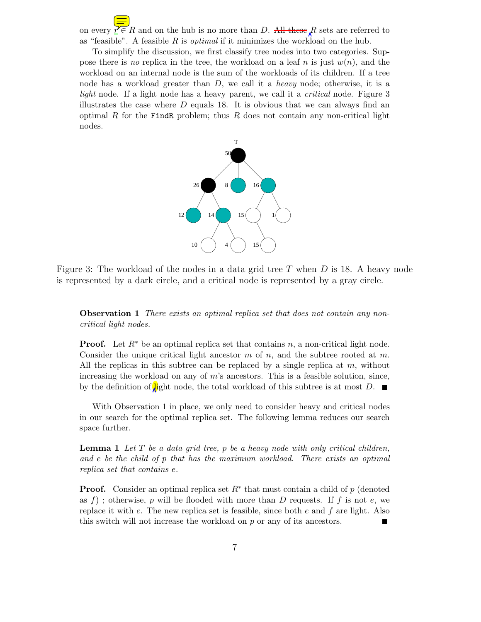on every  $\gamma \in R$  and on the hub is no more than *D*. All these *R* sets are referred to as "feasible". A feasible *R* is *optimal* if it minimizes the workload on the hub.

To simplify the discussion, we first classify tree nodes into two categories. Suppose there is *no* replica in the tree, the workload on a leaf *n* is just *w*(*n*), and the workload on an internal node is the sum of the workloads of its children. If a tree node has a workload greater than *D*, we call it a *heavy* node; otherwise, it is a *light* node. If a light node has a heavy parent, we call it a *critical* node. Figure 3 illustrates the case where  $D$  equals 18. It is obvious that we can always find an optimal  $R$  for the FindR problem; thus  $R$  does not contain any non-critical light nodes.



Figure 3: The workload of the nodes in a data grid tree *T* when *D* is 18. A heavy node is represented by a dark circle, and a critical node is represented by a gray circle.

**Observation 1** *There exists an optimal replica set that does not contain any noncritical light nodes.*

**Proof.** Let *R*∗ be an optimal replica set that contains *n*, a non-critical light node. Consider the unique critical light ancestor *m* of *n*, and the subtree rooted at *m*. All the replicas in this subtree can be replaced by a single replica at *m*, without increasing the workload on any of *m*'s ancestors. This is a feasible solution, since, by the definition of light node, the total workload of this subtree is at most  $D$ .

With Observation 1 in place, we only need to consider heavy and critical nodes in our search for the optimal replica set. The following lemma reduces our search space further.

**Lemma 1** *Let T be a data grid tree, p be a heavy node with only critical children, and e be the child of p that has the maximum workload. There exists an optimal replica set that contains e.*

**Proof.** Consider an optimal replica set *R*∗ that must contain a child of *p* (denoted as *f*) ; otherwise, *p* will be flooded with more than *D* requests. If *f* is not *e*, we replace it with *e*. The new replica set is feasible, since both *e* and *f* are light. Also this switch will not increase the workload on *p* or any of its ancestors.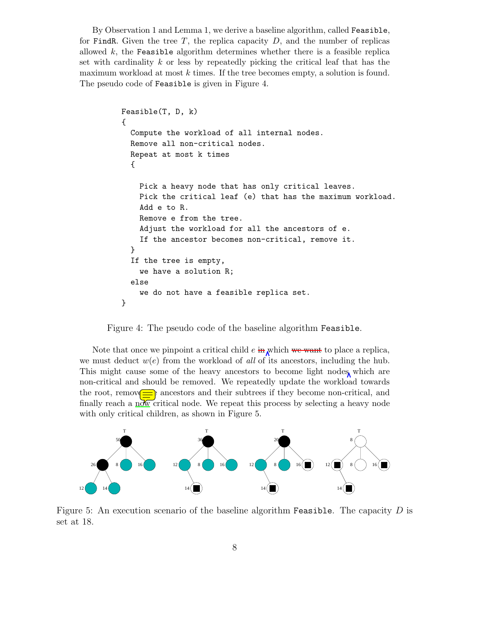By Observation 1 and Lemma 1, we derive a baseline algorithm, called Feasible, for FindR. Given the tree  $T$ , the replica capacity  $D$ , and the number of replicas allowed  $k$ , the **Feasible** algorithm determines whether there is a feasible replica set with cardinality *k* or less by repeatedly picking the critical leaf that has the maximum workload at most *k* times. If the tree becomes empty, a solution is found. The pseudo code of Feasible is given in Figure 4.

```
Feasible(T, D, k)
{
 Compute the workload of all internal nodes.
 Remove all non-critical nodes.
 Repeat at most k times
  {
   Pick a heavy node that has only critical leaves.
    Pick the critical leaf (e) that has the maximum workload.
    Add e to R.
    Remove e from the tree.
    Adjust the workload for all the ancestors of e.
    If the ancestor becomes non-critical, remove it.
 }
 If the tree is empty,
    we have a solution R;
 else
    we do not have a feasible replica set.
}
```
Figure 4: The pseudo code of the baseline algorithm Feasible.

Note that once we pinpoint a critical child  $e \frac{im}{k}$  which we want to place a replica, we must deduct  $w(e)$  from the workload of *all* of its ancestors, including the hub. This might cause some of the heavy ancestors to become light nodes which are non-critical and should be removed. We repeatedly update the workload towards the root, remove  $\equiv$  ancestors and their subtrees if they become non-critical, and finally reach a  $n\frac{d}{dx}$  critical node. We repeat this process by selecting a heavy node with only critical children, as shown in Figure 5.



Figure 5: An execution scenario of the baseline algorithm Feasible. The capacity *D* is set at 18.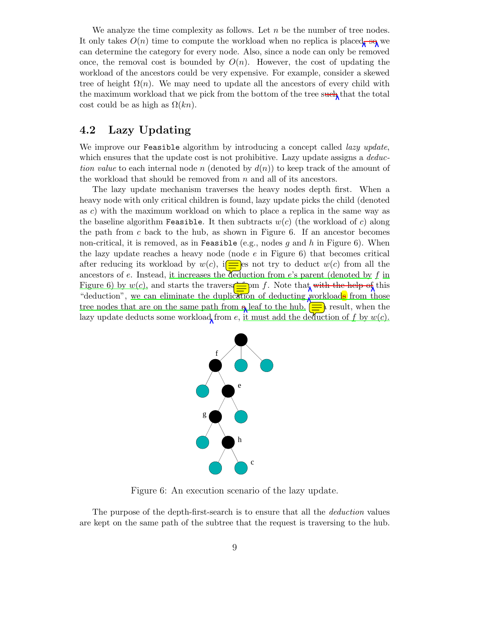We analyze the time complexity as follows. Let *n* be the number of tree nodes. It only takes  $O(n)$  time to compute the workload when no replica is placed, so we can determine the category for every node. Also, since a node can only be removed once, the removal cost is bounded by  $O(n)$ . However, the cost of updating the workload of the ancestors could be very expensive. For example, consider a skewed tree of height  $\Omega(n)$ . We may need to update all the ancestors of every child with the maximum workload that we pick from the bottom of the tree such that the total cost could be as high as  $\Omega(kn)$ .

### **4.2 Lazy Updating**

We improve our Feasible algorithm by introducing a concept called *lazy update*, which ensures that the update cost is not prohibitive. Lazy update assigns a *deduction value* to each internal node *n* (denoted by *d*(*n*)) to keep track of the amount of the workload that should be removed from *n* and all of its ancestors.

The lazy update mechanism traverses the heavy nodes depth first. When a heavy node with only critical children is found, lazy update picks the child (denoted as *c*) with the maximum workload on which to place a replica in the same way as the baseline algorithm **Feasible**. It then subtracts  $w(c)$  (the workload of *c*) along the path from *c* back to the hub, as shown in Figure 6. If an ancestor becomes non-critical, it is removed, as in Feasible (e.g., nodes *g* and *h* in Figure 6). When the lazy update reaches a heavy node (node *e* in Figure 6) that becomes critical after reducing its workload by  $w(c)$ , if esters not try to deduct  $w(c)$  from all the ancestors of *e*. Instead, it increases the deduction from *e*'s parent (denoted by *f* in Figure 6) by  $w(c)$ , and starts the traversed point *f*. Note that with the help of this "deduction", we can eliminate the duplication of deducting workloads from those tree nodes that are on the same path from  $\alpha$  leaf to the hub.  $\equiv$  result, when the lazy update deducts some workload from  $e$ , it must add the deduction of  $f$  by  $w(c)$ .



Figure 6: An execution scenario of the lazy update.

The purpose of the depth-first-search is to ensure that all the *deduction* values are kept on the same path of the subtree that the request is traversing to the hub.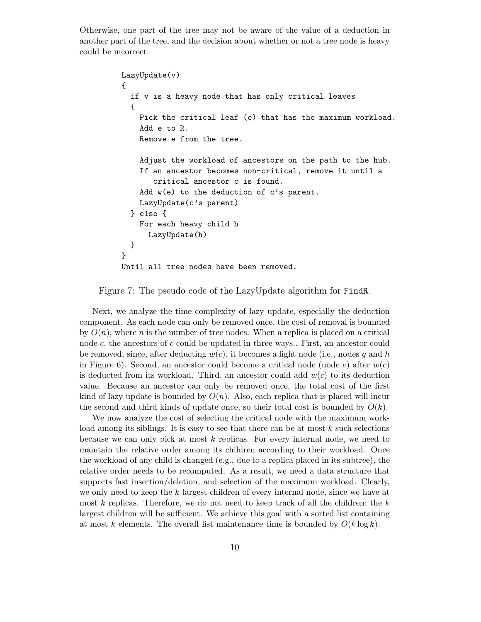Otherwise, one part of the tree may not be aware of the value of a deduction in another part of the tree, and the decision about whether or not a tree node is heavy could be incorrect.

```
LazyUpdate(v)
{
  if v is a heavy node that has only critical leaves
  {
    Pick the critical leaf (e) that has the maximum workload.
    Add e to R.
    Remove e from the tree.
    Adjust the workload of ancestors on the path to the hub.
    If an ancestor becomes non-critical, remove it until a
       critical ancestor c is found.
    Add w(e) to the deduction of c's parent.
    LazyUpdate(c's parent)
  } else {
    For each heavy child h
      LazyUpdate(h)
  }
}
Until all tree nodes have been removed.
```
Figure 7: The pseudo code of the LazyUpdate algorithm for FindR.

Next, we analyze the time complexity of lazy update, especially the deduction component. As each node can only be removed once, the cost of removal is bounded by  $O(n)$ , where *n* is the number of tree nodes. When a replica is placed on a critical node *c*, the ancestors of *c* could be updated in three ways.. First, an ancestor could be removed, since, after deducting *w*(*c*), it becomes a light node (i.e., nodes *g* and *h* in Figure 6). Second, an ancestor could become a critical node (node *e*) after *w*(*c*) is deducted from its workload. Third, an ancestor could add  $w(c)$  to its deduction value. Because an ancestor can only be removed once, the total cost of the first kind of lazy update is bounded by  $O(n)$ . Also, each replica that is placed will incur the second and third kinds of update once, so their total cost is bounded by  $O(k)$ .

We now analyze the cost of selecting the critical node with the maximum workload among its siblings. It is easy to see that there can be at most *k* such selections because we can only pick at most *k* replicas. For every internal node, we need to maintain the relative order among its children according to their workload. Once the workload of any child is changed (e.g., due to a replica placed in its subtree), the relative order needs to be recomputed. As a result, we need a data structure that supports fast insertion/deletion, and selection of the maximum workload. Clearly, we only need to keep the *k* largest children of every internal node, since we have at most *k* replicas. Therefore, we do not need to keep track of all the children; the *k* largest children will be sufficient. We achieve this goal with a sorted list containing at most *k* elements. The overall list maintenance time is bounded by  $O(k \log k)$ .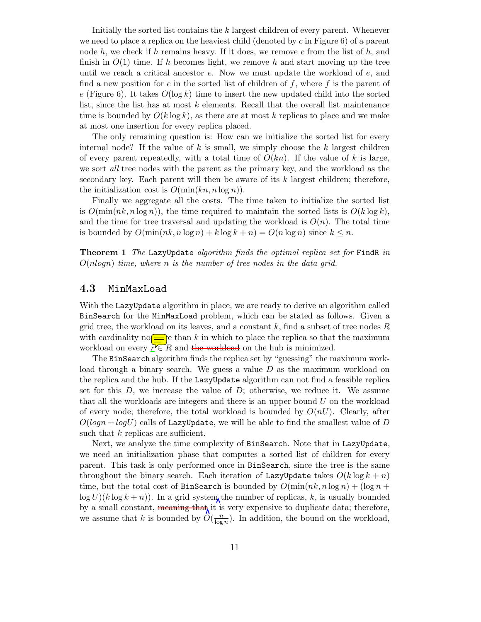Initially the sorted list contains the *k* largest children of every parent. Whenever we need to place a replica on the heaviest child (denoted by *c* in Figure 6) of a parent node *h*, we check if *h* remains heavy. If it does, we remove *c* from the list of *h*, and finish in *O*(1) time. If *h* becomes light, we remove *h* and start moving up the tree until we reach a critical ancestor *e*. Now we must update the workload of *e*, and find a new position for *e* in the sorted list of children of *f*, where *f* is the parent of  $e$  (Figure 6). It takes  $O(\log k)$  time to insert the new updated child into the sorted list, since the list has at most *k* elements. Recall that the overall list maintenance time is bounded by  $O(k \log k)$ , as there are at most k replicas to place and we make at most one insertion for every replica placed.

The only remaining question is: How can we initialize the sorted list for every internal node? If the value of *k* is small, we simply choose the *k* largest children of every parent repeatedly, with a total time of  $O(kn)$ . If the value of k is large, we sort *all* tree nodes with the parent as the primary key, and the workload as the secondary key. Each parent will then be aware of its *k* largest children; therefore, the initialization cost is  $O(\min(kn, n \log n))$ .

Finally we aggregate all the costs. The time taken to initialize the sorted list is  $O(\min(nk, n \log n))$ , the time required to maintain the sorted lists is  $O(k \log k)$ , and the time for tree traversal and updating the workload is  $O(n)$ . The total time is bounded by  $O(\min(nk, n \log n) + k \log k + n) = O(n \log n)$  since  $k \leq n$ .

**Theorem 1** *The* LazyUpdate *algorithm finds the optimal replica set for* FindR *in O*(*nlogn*) *time, where n is the number of tree nodes in the data grid.*

#### **4.3** MinMaxLoad

With the LazyUpdate algorithm in place, we are ready to derive an algorithm called BinSearch for the MinMaxLoad problem, which can be stated as follows. Given a grid tree, the workload on its leaves, and a constant *k*, find a subset of tree nodes *R* with cardinality no  $\equiv$  e than k in which to place the replica so that the maximum workload on every  $r \in R$  and the workload on the hub is minimized.

The BinSearch algorithm finds the replica set by "guessing" the maximum workload through a binary search. We guess a value *D* as the maximum workload on the replica and the hub. If the LazyUpdate algorithm can not find a feasible replica set for this  $D$ , we increase the value of  $D$ ; otherwise, we reduce it. We assume that all the workloads are integers and there is an upper bound *U* on the workload of every node; therefore, the total workload is bounded by  $O(nU)$ . Clearly, after  $O(logn + logU)$  calls of LazyUpdate, we will be able to find the smallest value of *D* such that *k* replicas are sufficient.

Next, we analyze the time complexity of BinSearch. Note that in LazyUpdate, we need an initialization phase that computes a sorted list of children for every parent. This task is only performed once in BinSearch, since the tree is the same throughout the binary search. Each iteration of LazyUpdate takes  $O(k \log k + n)$ time, but the total cost of BinSearch is bounded by  $O(\min(nk, n \log n) + (\log n +$  $\log U(k \log k + n)$ ). In a grid system the number of replicas, k, is usually bounded by a small constant, meaning that it is very expensive to duplicate data; therefore, we assume that *k* is bounded by  $\widehat{O}(\frac{n}{\log n})$ . In addition, the bound on the workload,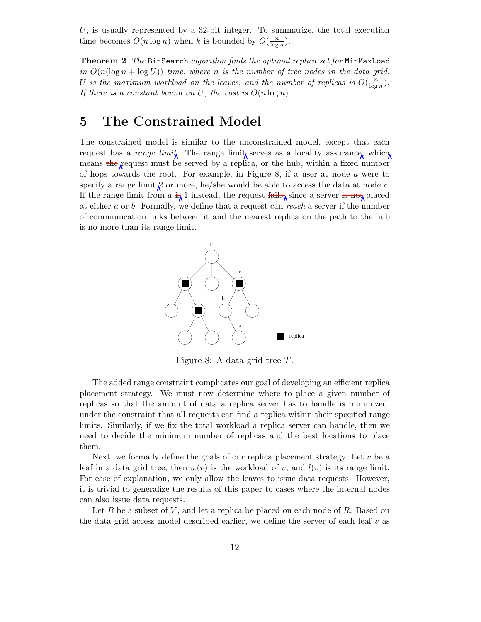*U*, is usually represented by a 32-bit integer. To summarize, the total execution time becomes  $O(n \log n)$  when *k* is bounded by  $O(\frac{n}{\log n})$ .

**Theorem 2** *The* BinSearch *algorithm finds the optimal replica set for* MinMaxLoad *in*  $O(n(\log n + \log U))$  *time, where n is the number of tree nodes in the data grid, U* is the maximum workload on the leaves, and the number of replicas is  $O(\frac{n}{\log n})$ .<br>If there is a constant bound on *U* the cost is  $O(n \log n)$ If there is a constant bound on U, the cost is  $O(n \log n)$ .

### **5 The Constrained Model**

The constrained model is similar to the unconstrained model, except that each request has a *range limit*. The range limit serves as a locality assurance, which means the request must be served by a replica, or the hub, within a fixed number of hops towards the root. For example, in Figure 8, if a user at node *a* were to specify a range limit  $\lambda$  or more, he/she would be able to access the data at node *c*. If the range limit from  $a \in \mathbb{R}^1$  instead, the request  $\frac{f \text{a} \cdot \text{b}}{g}$  since a server is not placed at either *a* or *b*. Formally, we define that a request can *reach* a server if the number of communication links between it and the nearest replica on the path to the hub is no more than its range limit.



Figure 8: A data grid tree *T*.

The added range constraint complicates our goal of developing an efficient replica placement strategy. We must now determine where to place a given number of replicas so that the amount of data a replica server has to handle is minimized, under the constraint that all requests can find a replica within their specified range limits. Similarly, if we fix the total workload a replica server can handle, then we need to decide the minimum number of replicas and the best locations to place them.

Next, we formally define the goals of our replica placement strategy. Let *v* be a leaf in a data grid tree; then  $w(v)$  is the workload of *v*, and  $l(v)$  is its range limit. For ease of explanation, we only allow the leaves to issue data requests. However, it is trivial to generalize the results of this paper to cases where the internal nodes can also issue data requests.

Let *R* be a subset of *V* , and let a replica be placed on each node of *R*. Based on the data grid access model described earlier, we define the server of each leaf *v* as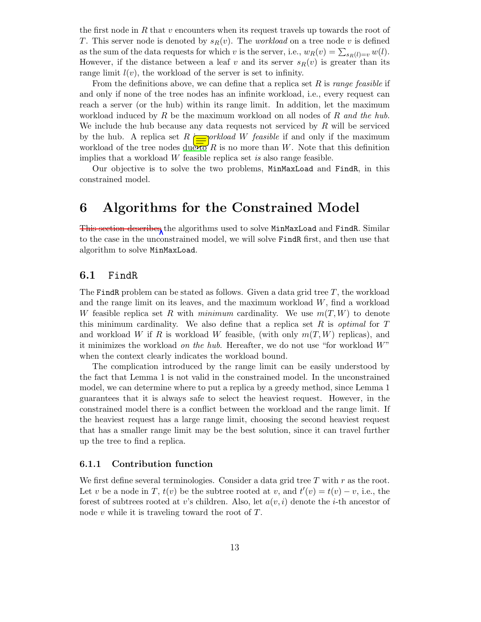the first node in *R* that *v* encounters when its request travels up towards the root of *T*. This server node is denoted by *sR*(*v*). The *workload* on a tree node *v* is defined as the sum of the data requests for which *v* is the server, i.e.,  $w_R(v) = \sum_{s_R(l)=v} w(l)$ .<br>However, if the distance between a loof *v* and its server  $\varepsilon_R(v)$  is greater than its However, if the distance between a leaf v and its server  $s_R(v)$  is greater than its range limit  $l(v)$ , the workload of the server is set to infinity.

From the definitions above, we can define that a replica set *R* is *range feasible* if and only if none of the tree nodes has an infinite workload, i.e., every request can reach a server (or the hub) within its range limit. In addition, let the maximum workload induced by *R* be the maximum workload on all nodes of *R and the hub*. We include the hub because any data requests not serviced by *R* will be serviced by the hub. A replica set  $R \equiv \text{or } k \text{ to } W$  *feasible* if and only if the maximum workload of the tree nodes  $\text{due to } R$  is no more than *W*. Note that this definition implies that a workload *W* feasible replica set *is* also range feasible.

Our objective is to solve the two problems, MinMaxLoad and FindR, in this constrained model.

### **6 Algorithms for the Constrained Model**

This section describes the algorithms used to solve MinMaxLoad and FindR. Similar to the case in the unconstrained model, we will solve FindR first, and then use that algorithm to solve MinMaxLoad.

#### **6.1** FindR

The FindR problem can be stated as follows. Given a data grid tree *T*, the workload and the range limit on its leaves, and the maximum workload *W*, find a workload *W* feasible replica set *R* with *minimum* cardinality. We use *m*(*T,W*) to denote this minimum cardinality. We also define that a replica set *R* is *optimal* for *T* and workload *W* if *R* is workload *W* feasible, (with only  $m(T, W)$  replicas), and it minimizes the workload *on the hub*. Hereafter, we do not use "for workload *W*" when the context clearly indicates the workload bound.

The complication introduced by the range limit can be easily understood by the fact that Lemma 1 is not valid in the constrained model. In the unconstrained model, we can determine where to put a replica by a greedy method, since Lemma 1 guarantees that it is always safe to select the heaviest request. However, in the constrained model there is a conflict between the workload and the range limit. If the heaviest request has a large range limit, choosing the second heaviest request that has a smaller range limit may be the best solution, since it can travel further up the tree to find a replica.

#### **6.1.1 Contribution function**

We first define several terminologies. Consider a data grid tree *T* with *r* as the root. Let *v* be a node in *T*,  $t(v)$  be the subtree rooted at *v*, and  $t'(v) = t(v) - v$ , i.e., the forest of subtrees rooted at *v*'s children. Also, let *a*(*v, i*) denote the *i*-th ancestor of node *v* while it is traveling toward the root of *T*.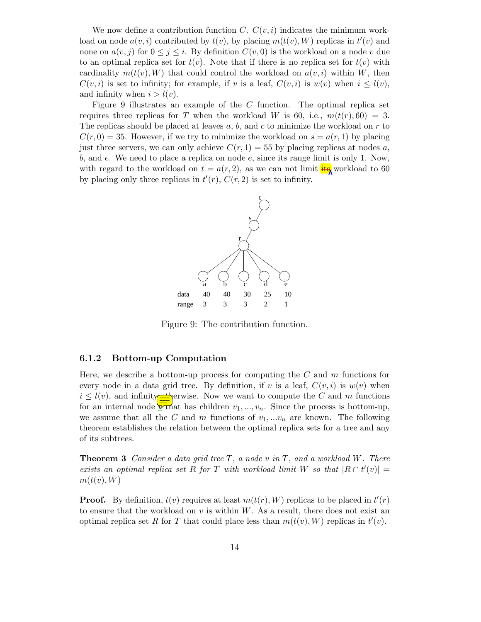We now define a contribution function *C*.  $C(v, i)$  indicates the minimum workload on node  $a(v, i)$  contributed by  $t(v)$ , by placing  $m(t(v), W)$  replicas in  $t'(v)$  and none on  $a(v, j)$  for  $0 \leq j \leq i$ . By definition  $C(v, 0)$  is the workload on a node *v* due to an optimal replica set for  $t(v)$ . Note that if there is no replica set for  $t(v)$  with cardinality  $m(t(v), W)$  that could control the workload on  $a(v, i)$  within *W*, then *C*(*v, i*) is set to infinity; for example, if *v* is a leaf,  $C(v, i)$  is  $w(v)$  when  $i \leq l(v)$ , and infinity when  $i > l(v)$ .

Figure 9 illustrates an example of the *C* function. The optimal replica set requires three replicas for *T* when the workload *W* is 60, i.e.,  $m(t(r), 60) = 3$ . The replicas should be placed at leaves *a*, *b*, and *c* to minimize the workload on *r* to  $C(r, 0) = 35$ . However, if we try to minimize the workload on  $s = a(r, 1)$  by placing just three servers, we can only achieve  $C(r, 1) = 55$  by placing replicas at nodes a, *b*, and *e*. We need to place a replica on node *e*, since its range limit is only 1. Now, with regard to the workload on  $t = a(r, 2)$ , as we can not limit  $\frac{d}{dt}$  workload to 60 by placing only three replicas in  $t'(r)$ ,  $C(r, 2)$  is set to infinity.



Figure 9: The contribution function.

#### **6.1.2 Bottom-up Computation**

Here, we describe a bottom-up process for computing the *C* and *m* functions for every node in a data grid tree. By definition, if *v* is a leaf,  $C(v, i)$  is  $w(v)$  when  $i \leq l(v)$ , and infinity prwise. Now we want to compute the *C* and *m* functions for an internal node  $\overline{\nu}$  that has children  $v_1, ..., v_n$ . Since the process is bottom-up, we assume that all the *C* and *m* functions of  $v_1, \ldots, v_n$  are known. The following theorem establishes the relation between the optimal replica sets for a tree and any of its subtrees.

**Theorem 3** *Consider a data grid tree T, a node v in T, and a workload W. There exists an optimal replica set R for T with workload limit W so that*  $|R \cap t'(v)| =$  $m(t(v), W)$ 

**Proof.** By definition,  $t(v)$  requires at least  $m(t(r), W)$  replicas to be placed in  $t'(r)$ to ensure that the workload on *v* is within *W*. As a result, there does not exist an optimal replica set *R* for *T* that could place less than  $m(t(v), W)$  replicas in  $t'(v)$ .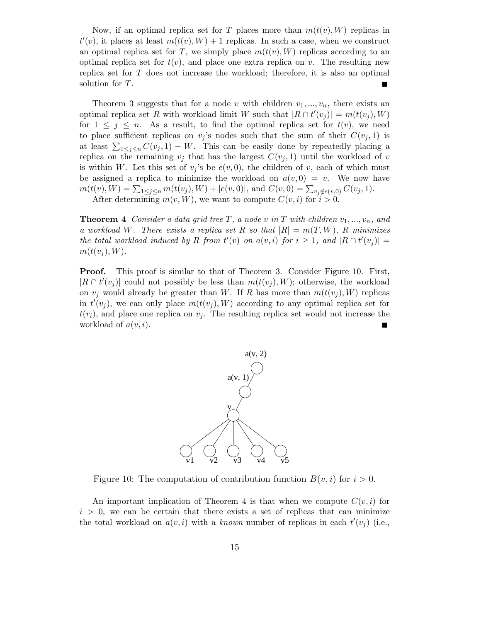Now, if an optimal replica set for *T* places more than  $m(t(v), W)$  replicas in  $t'(v)$ , it places at least  $m(t(v), W) + 1$  replicas. In such a case, when we construct an optimal replica set for *T*, we simply place  $m(t(v), W)$  replicas according to an optimal replica set for  $t(v)$ , and place one extra replica on *v*. The resulting new replica set for *T* does not increase the workload; therefore, it is also an optimal solution for *T*.

Theorem 3 suggests that for a node *v* with children  $v_1, ..., v_n$ , there exists an optimal replica set *R* with workload limit *W* such that  $|R \cap t'(v_j)| = m(t(v_j), W)$ for  $1 \leq j \leq n$ . As a result, to find the optimal replica set for  $t(v)$ , we need to place sufficient replicas on  $v_j$ 's nodes such that the sum of their  $C(v_j, 1)$  is at least  $\sum_{1 \leq j \leq n} C(v_j, 1) - W$ . This can be easily done by repeatedly placing a<br>replice on the remaining  $v_k$  that has the largest  $C(v_k, 1)$  until the workload of  $v_k$ replica on the remaining  $v_j$  that has the largest  $C(v_j, 1)$  until the workload of  $v$ is within *W*. Let this set of  $v_j$ 's be  $e(v, 0)$ , the children of *v*, each of which must be assigned a replica to minimize the workload on  $a(v, 0) = v$ . We now have  $m(t(v), W) = \sum_{1 \leq j \leq n} m(t(v_j), W) + |e(v, 0)|$ , and  $C(v, 0) = \sum_{v_j \notin e(v, 0)} C(v_j, 1)$ . After determining  $m(v, W)$ , we want to compute  $C(v, i)$  for  $i > 0$ .

**Theorem 4** *Consider a data grid tree*  $T$ *, a node*  $v$  *in*  $T$  *with children*  $v_1, ..., v_n$ *, and a workload W. There exists a replica set R so that*  $|R| = m(T, W)$ *, R minimizes the total workload induced by R from*  $t'(v)$  *on*  $a(v, i)$  *for*  $i \geq 1$ *, and*  $|R \cap t'(v_j)| =$  $m(t(v_i), W)$ .

**Proof.** This proof is similar to that of Theorem 3. Consider Figure 10. First,  $|R \cap t'(v_j)|$  could not possibly be less than  $m(t(v_j), W)$ ; otherwise, the workload on  $v_j$  would already be greater than *W*. If *R* has more than  $m(t(v_j), W)$  replicas in  $t'(v_j)$ , we can only place  $m(t(v_j), W)$  according to any optimal replica set for  $t(r_i)$ , and place one replica on  $v_j$ . The resulting replica set would not increase the workload of *a*(*v, i*).



Figure 10: The computation of contribution function  $B(v, i)$  for  $i > 0$ .

An important implication of Theorem 4 is that when we compute  $C(v, i)$  for  $i > 0$ , we can be certain that there exists a set of replicas that can minimize the total workload on  $a(v, i)$  with a *known* number of replicas in each  $t'(v_j)$  (i.e.,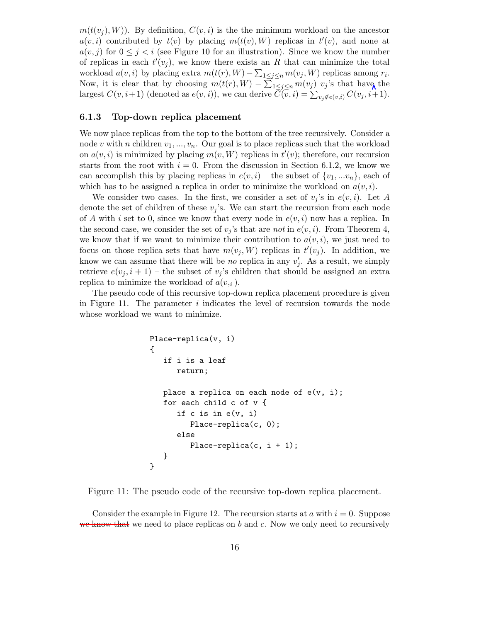$m(t(v_i), W)$ ). By definition,  $C(v, i)$  is the the minimum workload on the ancestor  $a(v, i)$  contributed by  $t(v)$  by placing  $m(t(v), W)$  replicas in  $t'(v)$ , and none at  $a(v, j)$  for  $0 \leq j < i$  (see Figure 10 for an illustration). Since we know the number of replicas in each  $t'(v_j)$ , we know there exists an  $R$  that can minimize the total workload  $a(v, i)$  by placing extra  $m(t(r), W) - \sum_{1 \leq j \leq n} m(v_j, W)$  replicas among  $r_i$ .<br>Now, it is clear that by choosing  $m(t(r), W) - \sum_{1 \leq j \leq n} m(v_j)$ ,  $v_i$ 's that hous the Now, it is clear that by choosing  $m(t(r), W) - \sum_{1 \leq j \leq n} m(v_j) v_j$ 's that have the largest  $C(v, i+1)$  (denoted as  $e(v,i)$ ) we can derive  $C(v,i) - \sum_{1 \leq j \leq n} C(v,i+1)$ largest  $C(v, i+1)$  (denoted as  $e(v, i)$ ), we can derive  $C(v, i) = \sum_{v_j \notin e(v, i)} C(v_j, i+1)$ .

#### **6.1.3 Top-down replica placement**

We now place replicas from the top to the bottom of the tree recursively. Consider a node *v* with *n* children  $v_1, ..., v_n$ . Our goal is to place replicas such that the workload on  $a(v, i)$  is minimized by placing  $m(v, W)$  replicas in  $t'(v)$ ; therefore, our recursion starts from the root with  $i = 0$ . From the discussion in Section 6.1.2, we know we can accomplish this by placing replicas in  $e(v, i)$  – the subset of  $\{v_1, \ldots, v_n\}$ , each of which has to be assigned a replica in order to minimize the workload on  $a(v, i)$ .

We consider two cases. In the first, we consider a set of  $v_j$ 's in  $e(v, i)$ . Let A denote the set of children of these *v<sup>j</sup>* 's. We can start the recursion from each node of *A* with *i* set to 0, since we know that every node in  $e(v, i)$  now has a replica. In the second case, we consider the set of  $v_j$ 's that are *not* in  $e(v, i)$ . From Theorem 4, we know that if we want to minimize their contribution to  $a(v, i)$ , we just need to focus on those replica sets that have  $m(v_j, W)$  replicas in  $t'(v_j)$ . In addition, we know we can assume that there will be *no* replica in any  $v'_{j}$ . As a result, we simply retrieve  $e(v_j, i + 1)$  – the subset of  $v_j$ 's children that should be assigned an extra replica to minimize the workload of  $a(v_i)$ .

The pseudo code of this recursive top-down replica placement procedure is given in Figure 11. The parameter *i* indicates the level of recursion towards the node whose workload we want to minimize.

```
Place-replica(v, i)
{
   if i is a leaf
      return;
   place a replica on each node of e(v, i);
   for each child c of v {
      if c is in e(v, i)
         Place-replica(c, 0);
      else
         Place-replica(c, i + 1);
   }
}
```
Figure 11: The pseudo code of the recursive top-down replica placement.

Consider the example in Figure 12. The recursion starts at  $a$  with  $i = 0$ . Suppose we know that we need to place replicas on *b* and *c*. Now we only need to recursively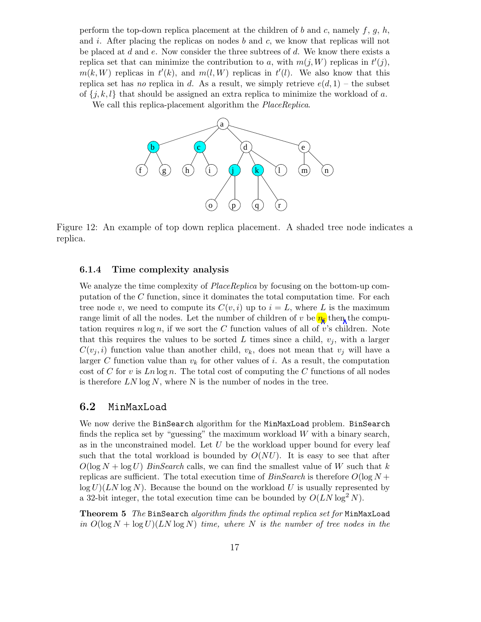perform the top-down replica placement at the children of *b* and *c*, namely *f*, *g*, *h*, and *i*. After placing the replicas on nodes *b* and *c*, we know that replicas will not be placed at *d* and *e*. Now consider the three subtrees of *d*. We know there exists a replica set that can minimize the contribution to *a*, with  $m(j, W)$  replicas in  $t'(j)$ ,  $m(k, W)$  replicas in  $t'(k)$ , and  $m(l, W)$  replicas in  $t'(l)$ . We also know that this replica set has *no* replica in *d*. As a result, we simply retrieve  $e(d, 1)$  – the subset of {*j, k, l*} that should be assigned an extra replica to minimize the workload of *a*.

We call this replica-placement algorithm the *PlaceReplica*.



Figure 12: An example of top down replica placement. A shaded tree node indicates a replica.

#### **6.1.4 Time complexity analysis**

We analyze the time complexity of *PlaceReplica* by focusing on the bottom-up computation of the *C* function, since it dominates the total computation time. For each tree node *v*, we need to compute its  $C(v, i)$  up to  $i = L$ , where L is the maximum range limit of all the nodes. Let the number of children of *v* be  $\eta_{\vec{k}}$  then the computation requires *n* log *n*, if we sort the *C* function values of all of *v*'s children. Note that this requires the values to be sorted L times since a child,  $v_j$ , with a larger  $C(v_i, i)$  function value than another child,  $v_k$ , does not mean that  $v_j$  will have a larger C function value than  $v_k$  for other values of *i*. As a result, the computation cost of *C* for *v* is *Ln* log *n*. The total cost of computing the *C* functions of all nodes is therefore *LN* log *N*, where N is the number of nodes in the tree.

#### **6.2** MinMaxLoad

We now derive the BinSearch algorithm for the MinMaxLoad problem. BinSearch finds the replica set by "guessing" the maximum workload *W* with a binary search, as in the unconstrained model. Let *U* be the workload upper bound for every leaf such that the total workload is bounded by  $O(NU)$ . It is easy to see that after  $O(\log N + \log U)$  *BinSearch* calls, we can find the smallest value of *W* such that *k* replicas are sufficient. The total execution time of *BinSearch* is therefore  $O(\log N +$  $\log U$ (*LN* log *N*). Because the bound on the workload *U* is usually represented by a 32-bit integer, the total execution time can be bounded by  $O(LN \log^2 N)$ .

**Theorem 5** *The* BinSearch *algorithm finds the optimal replica set for* MinMaxLoad  $\int$ *in*  $O(\log N + \log U)(LN \log N)$  *time, where N is the number of tree nodes in the*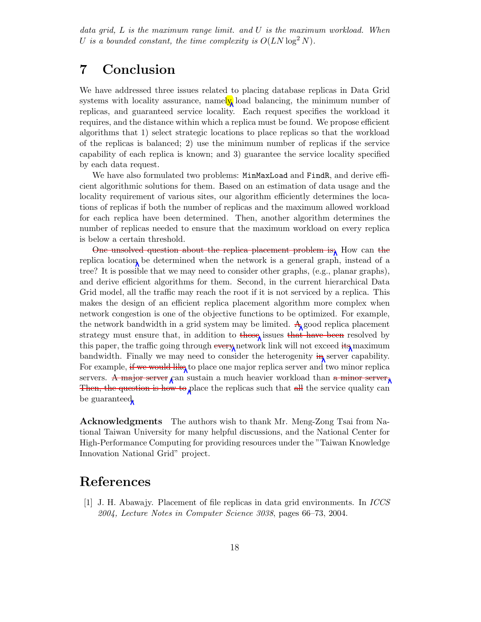*data grid, L is the maximum range limit. and U is the maximum workload. When U* is a bounded constant, the time complexity is  $O(LN \log^2 N)$ .

# **7 Conclusion**

We have addressed three issues related to placing database replicas in Data Grid systems with locality assurance, namely load balancing, the minimum number of replicas, and guaranteed service locality. Each request specifies the workload it requires, and the distance within which a replica must be found. We propose efficient algorithms that 1) select strategic locations to place replicas so that the workload of the replicas is balanced; 2) use the minimum number of replicas if the service capability of each replica is known; and 3) guarantee the service locality specified by each data request.

We have also formulated two problems: MinMaxLoad and FindR, and derive efficient algorithmic solutions for them. Based on an estimation of data usage and the locality requirement of various sites, our algorithm efficiently determines the locations of replicas if both the number of replicas and the maximum allowed workload for each replica have been determined. Then, another algorithm determines the number of replicas needed to ensure that the maximum workload on every replica is below a certain threshold.

One unsolved question about the replica placement problem is, How can the replica location be determined when the network is a general graph, instead of a tree? It is possible that we may need to consider other graphs, (e.g., planar graphs), and derive efficient algorithms for them. Second, in the current hierarchical Data Grid model, all the traffic may reach the root if it is not serviced by a replica. This makes the design of an efficient replica placement algorithm more complex when network congestion is one of the objective functions to be optimized. For example, the network bandwidth in a grid system may be limited.  $A_{\lambda}$  good replica placement strategy must ensure that, in addition to those issues that have been resolved by this paper, the traffic going through every network link will not exceed its maximum bandwidth. Finally we may need to consider the heterogenity  $\frac{1}{\sqrt{m}}$  server capability. For example, if we would like to place one major replica server and two minor replica servers. A major server can sustain a much heavier workload than a minor server, Then, the question is how to place the replicas such that all the service quality can be guaranteed

**Acknowledgments** The authors wish to thank Mr. Meng-Zong Tsai from National Taiwan University for many helpful discussions, and the National Center for High-Performance Computing for providing resources under the "Taiwan Knowledge Innovation National Grid" project.

# **References**

[1] J. H. Abawajy. Placement of file replicas in data grid environments. In *ICCS 2004, Lecture Notes in Computer Science 3038*, pages 66–73, 2004.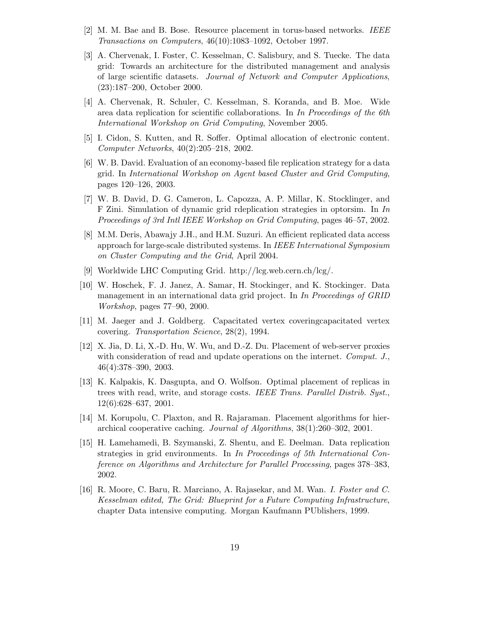- [2] M. M. Bae and B. Bose. Resource placement in torus-based networks. *IEEE Transactions on Computers*, 46(10):1083–1092, October 1997.
- [3] A. Chervenak, I. Foster, C. Kesselman, C. Salisbury, and S. Tuecke. The data grid: Towards an architecture for the distributed management and analysis of large scientific datasets. *Journal of Network and Computer Applications*, (23):187–200, October 2000.
- [4] A. Chervenak, R. Schuler, C. Kesselman, S. Koranda, and B. Moe. Wide area data replication for scientific collaborations. In *In Proceedings of the 6th International Workshop on Grid Computing*, November 2005.
- [5] I. Cidon, S. Kutten, and R. Soffer. Optimal allocation of electronic content. *Computer Networks*, 40(2):205–218, 2002.
- [6] W. B. David. Evaluation of an economy-based file replication strategy for a data grid. In *International Workshop on Agent based Cluster and Grid Computing*, pages 120–126, 2003.
- [7] W. B. David, D. G. Cameron, L. Capozza, A. P. Millar, K. Stocklinger, and F Zini. Simulation of dynamic grid rdeplication strategies in optorsim. In *In Proceedings of 3rd Intl IEEE Workshop on Grid Computing*, pages 46–57, 2002.
- [8] M.M. Deris, Abawajy J.H., and H.M. Suzuri. An efficient replicated data access approach for large-scale distributed systems. In *IEEE International Symposium on Cluster Computing and the Grid*, April 2004.
- [9] Worldwide LHC Computing Grid. http://lcg.web.cern.ch/lcg/.
- [10] W. Hoschek, F. J. Janez, A. Samar, H. Stockinger, and K. Stockinger. Data management in an international data grid project. In *In Proceedings of GRID Workshop*, pages 77–90, 2000.
- [11] M. Jaeger and J. Goldberg. Capacitated vertex coveringcapacitated vertex covering. *Transportation Science*, 28(2), 1994.
- [12] X. Jia, D. Li, X.-D. Hu, W. Wu, and D.-Z. Du. Placement of web-server proxies with consideration of read and update operations on the internet. *Comput. J.*, 46(4):378–390, 2003.
- [13] K. Kalpakis, K. Dasgupta, and O. Wolfson. Optimal placement of replicas in trees with read, write, and storage costs. *IEEE Trans. Parallel Distrib. Syst.*, 12(6):628–637, 2001.
- [14] M. Korupolu, C. Plaxton, and R. Rajaraman. Placement algorithms for hierarchical cooperative caching. *Journal of Algorithms*, 38(1):260–302, 2001.
- [15] H. Lamehamedi, B. Szymanski, Z. Shentu, and E. Deelman. Data replication strategies in grid environments. In *In Proceedings of 5th International Conference on Algorithms and Architecture for Parallel Processing*, pages 378–383, 2002.
- [16] R. Moore, C. Baru, R. Marciano, A. Rajasekar, and M. Wan. *I. Foster and C. Kesselman edited, The Grid: Blueprint for a Future Computing Infrastructure*, chapter Data intensive computing. Morgan Kaufmann PUblishers, 1999.